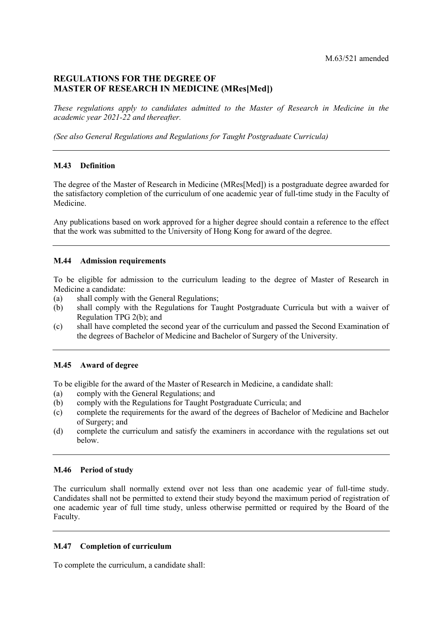# **REGULATIONS FOR THE DEGREE OF MASTER OF RESEARCH IN MEDICINE (MRes[Med])**

 *These regulations apply to candidates admitted to the Master of Research in Medicine in the academic year 2021-22 and thereafter.* 

 *(See also General Regulations and Regulations for Taught Postgraduate Curricula)* 

## **M.43 Definition**

 The degree of the Master of Research in Medicine (MRes[Med]) is a postgraduate degree awarded for the satisfactory completion of the curriculum of one academic year of full-time study in the Faculty of Medicine.

 Any publications based on work approved for a higher degree should contain a reference to the effect that the work was submitted to the University of Hong Kong for award of the degree.

## **M.44 Admission requirements**

 To be eligible for admission to the curriculum leading to the degree of Master of Research in Medicine a candidate:

- $(a)$ shall comply with the General Regulations;
- $(b)$  Regulation TPG 2(b); and shall comply with the Regulations for Taught Postgraduate Curricula but with a waiver of
- (c) shall have completed the second year of the curriculum and passed the Second Examination of the degrees of Bachelor of Medicine and Bachelor of Surgery of the University.

## **M.45 Award of degree**

To be eligible for the award of the Master of Research in Medicine, a candidate shall:

- (a) comply with the General Regulations; and
- (b) comply with the Regulations for Taught Postgraduate Curricula; and
- of Surgery; and (c) complete the requirements for the award of the degrees of Bachelor of Medicine and Bachelor
- (d) complete the curriculum and satisfy the examiners in accordance with the regulations set out below.

## **M.46 Period of study**

 The curriculum shall normally extend over not less than one academic year of full-time study. one academic year of full time study, unless otherwise permitted or required by the Board of the Faculty. Candidates shall not be permitted to extend their study beyond the maximum period of registration of

## **M.47 Completion of curriculum**

To complete the curriculum, a candidate shall: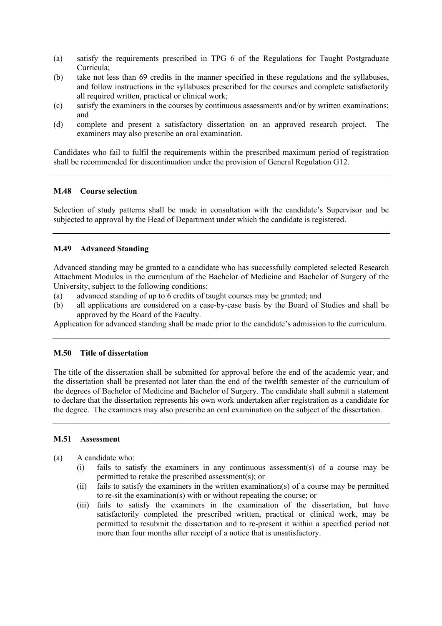- (a) satisfy the requirements prescribed in TPG 6 of the Regulations for Taught Postgraduate Curricula;
- (b) take not less than 69 credits in the manner specified in these regulations and the syllabuses, and follow instructions in the syllabuses prescribed for the courses and complete satisfactorily all required written, practical or clinical work;
- (c) satisfy the examiners in the courses by continuous assessments and/or by written examinations; and
- (d) complete and present a satisfactory dissertation on an approved research project. The examiners may also prescribe an oral examination.

 Candidates who fail to fulfil the requirements within the prescribed maximum period of registration shall be recommended for discontinuation under the provision of General Regulation G12.

## **M.48 Course selection**

 Selection of study patterns shall be made in consultation with the candidate's Supervisor and be subjected to approval by the Head of Department under which the candidate is registered.

## **M.49 Advanced Standing**

 Advanced standing may be granted to a candidate who has successfully completed selected Research Attachment Modules in the curriculum of the Bachelor of Medicine and Bachelor of Surgery of the University, subject to the following conditions:

- (a) advanced standing of up to 6 credits of taught courses may be granted; and
- (b) all applications are considered on a case-by-case basis by the Board of Studies and shall be approved by the Board of the Faculty.

Application for advanced standing shall be made prior to the candidate's admission to the curriculum.

#### **M.50 Title of dissertation**

 The title of the dissertation shall be submitted for approval before the end of the academic year, and the dissertation shall be presented not later than the end of the twelfth semester of the curriculum of the degrees of Bachelor of Medicine and Bachelor of Surgery. The candidate shall submit a statement to declare that the dissertation represents his own work undertaken after registration as a candidate for the degree. The examiners may also prescribe an oral examination on the subject of the dissertation.

#### **M.51 Assessment**

(a) A candidate who:

- $(i)$ fails to satisfy the examiners in any continuous assessment(s) of a course may be permitted to retake the prescribed assessment(s); or
- (ii) fails to satisfy the examiners in the written examination(s) of a course may be permitted to re-sit the examination(s) with or without repeating the course; or
- (iii) fails to satisfy the examiners in the examination of the dissertation, but have permitted to resubmit the dissertation and to re-present it within a specified period not more than four months after receipt of a notice that is unsatisfactory. satisfactorily completed the prescribed written, practical or clinical work, may be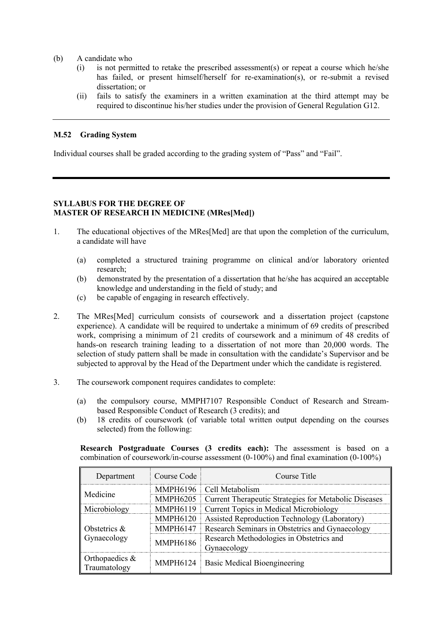- (b) A candidate who
	- (i) is not permitted to retake the prescribed assessment(s) or repeat a course which he/she has failed, or present himself/herself for re-examination(s), or re-submit a revised dissertation; or
	- (ii) fails to satisfy the examiners in a written examination at the third attempt may be required to discontinue his/her studies under the provision of General Regulation G12.

## **M.52 Grading System**

Individual courses shall be graded according to the grading system of "Pass" and "Fail".

# **SYLLABUS FOR THE DEGREE OF MASTER OF RESEARCH IN MEDICINE (MRes[Med])**

- 1. The educational objectives of the MRes[Med] are that upon the completion of the curriculum, a candidate will have
	- (a) completed a structured training programme on clinical and/or laboratory oriented research;
	- (b) demonstrated by the presentation of a dissertation that he/she has acquired an acceptable knowledge and understanding in the field of study; and
	- (c) be capable of engaging in research effectively.
- 2. The MRes[Med] curriculum consists of coursework and a dissertation project (capstone experience). A candidate will be required to undertake a minimum of 69 credits of prescribed work, comprising a minimum of 21 credits of coursework and a minimum of 48 credits of hands-on research training leading to a dissertation of not more than 20,000 words. The selection of study pattern shall be made in consultation with the candidate's Supervisor and be subjected to approval by the Head of the Department under which the candidate is registered.
- 3. The coursework component requires candidates to complete:
	- (a) the compulsory course, MMPH7107 Responsible Conduct of Research and Streambased Responsible Conduct of Research (3 credits); and
	- (b) 18 credits of coursework (of variable total written output depending on the courses selected) from the following:

**Research Postgraduate Courses (3 credits each):** The assessment is based on a combination of coursework/in-course assessment (0-100%) and final examination (0-100%)

| Department                     | Course Code     | Course Title                                          |
|--------------------------------|-----------------|-------------------------------------------------------|
| Medicine                       |                 | MMPH6196 Cell Metabolism                              |
|                                | <b>MMPH6205</b> | Current Therapeutic Strategies for Metabolic Diseases |
| Microbiology                   | <b>MMPH6119</b> | <b>Current Topics in Medical Microbiology</b>         |
| Obstetrics $\&$<br>Gynaecology | <b>MMPH6120</b> | Assisted Reproduction Technology (Laboratory)         |
|                                | <b>MMPH6147</b> | Research Seminars in Obstetrics and Gynaecology       |
|                                | <b>MMPH6186</b> | Research Methodologies in Obstetrics and              |
|                                |                 | Gynaecology                                           |
| Orthopaedics &<br>Traumatology |                 | MMPH6124   Basic Medical Bioengineering               |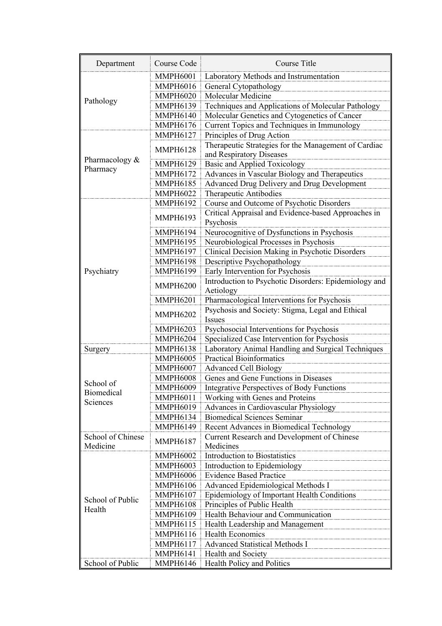| Department                    | <b>Course Code</b> | <b>Course Title</b>                                                              |
|-------------------------------|--------------------|----------------------------------------------------------------------------------|
|                               | <b>MMPH6001</b>    | Laboratory Methods and Instrumentation                                           |
|                               | <b>MMPH6016</b>    | General Cytopathology                                                            |
| Pathology                     | <b>MMPH6020</b>    | Molecular Medicine                                                               |
|                               | <b>MMPH6139</b>    | Techniques and Applications of Molecular Pathology                               |
|                               | <b>MMPH6140</b>    | Molecular Genetics and Cytogenetics of Cancer                                    |
|                               | <b>MMPH6176</b>    | Current Topics and Techniques in Immunology                                      |
|                               | <b>MMPH6127</b>    | Principles of Drug Action                                                        |
|                               | <b>MMPH6128</b>    | Therapeutic Strategies for the Management of Cardiac<br>and Respiratory Diseases |
| Pharmacology &<br>Pharmacy    | <b>MMPH6129</b>    | <b>Basic and Applied Toxicology</b>                                              |
|                               | <b>MMPH6172</b>    | Advances in Vascular Biology and Therapeutics                                    |
|                               | <b>MMPH6185</b>    | Advanced Drug Delivery and Drug Development                                      |
|                               | <b>MMPH6022</b>    | Therapeutic Antibodies                                                           |
|                               | <b>MMPH6192</b>    | Course and Outcome of Psychotic Disorders                                        |
|                               | <b>MMPH6193</b>    | Critical Appraisal and Evidence-based Approaches in                              |
|                               |                    | Psychosis                                                                        |
|                               | <b>MMPH6194</b>    | Neurocognitive of Dysfunctions in Psychosis                                      |
|                               | <b>MMPH6195</b>    | Neurobiological Processes in Psychosis                                           |
|                               | <b>MMPH6197</b>    | Clinical Decision Making in Psychotic Disorders                                  |
|                               | <b>MMPH6198</b>    | Descriptive Psychopathology                                                      |
| Psychiatry                    | <b>MMPH6199</b>    | Early Intervention for Psychosis                                                 |
|                               | <b>MMPH6200</b>    | Introduction to Psychotic Disorders: Epidemiology and<br>Aetiology               |
|                               | <b>MMPH6201</b>    | Pharmacological Interventions for Psychosis                                      |
|                               | <b>MMPH6202</b>    | Psychosis and Society: Stigma, Legal and Ethical                                 |
|                               |                    | <b>Issues</b>                                                                    |
|                               | <b>MMPH6203</b>    | Psychosocial Interventions for Psychosis                                         |
|                               | <b>MMPH6204</b>    | Specialized Case Intervention for Psychosis                                      |
| Surgery                       | <b>MMPH6138</b>    | Laboratory Animal Handling and Surgical Techniques                               |
|                               | <b>MMPH6005</b>    | <b>Practical Bioinformatics</b>                                                  |
|                               | <b>MMPH6007</b>    | <b>Advanced Cell Biology</b>                                                     |
| School of                     | <b>MMPH6008</b>    | Genes and Gene Functions in Diseases                                             |
| <b>Biomedical</b>             | <b>MMPH6009</b>    | <b>Integrative Perspectives of Body Functions</b>                                |
| Sciences                      | <b>MMPH6011</b>    | Working with Genes and Proteins                                                  |
|                               | <b>MMPH6019</b>    | Advances in Cardiovascular Physiology                                            |
|                               | <b>MMPH6134</b>    | <b>Biomedical Sciences Seminar</b>                                               |
|                               | <b>MMPH6149</b>    | <b>Recent Advances in Biomedical Technology</b>                                  |
| School of Chinese<br>Medicine | <b>MMPH6187</b>    | Current Research and Development of Chinese<br>Medicines                         |
|                               | <b>MMPH6002</b>    | Introduction to Biostatistics                                                    |
|                               | <b>MMPH6003</b>    | Introduction to Epidemiology                                                     |
|                               | <b>MMPH6006</b>    | <b>Evidence Based Practice</b>                                                   |
|                               | <b>MMPH6106</b>    | Advanced Epidemiological Methods I                                               |
| School of Public<br>Health    | <b>MMPH6107</b>    | Epidemiology of Important Health Conditions                                      |
|                               | <b>MMPH6108</b>    | Principles of Public Health                                                      |
|                               | <b>MMPH6109</b>    | Health Behaviour and Communication                                               |
|                               | <b>MMPH6115</b>    | Health Leadership and Management                                                 |
|                               | <b>MMPH6116</b>    | <b>Health Economics</b>                                                          |
|                               | <b>MMPH6117</b>    | Advanced Statistical Methods I                                                   |
|                               | <b>MMPH6141</b>    | Health and Society                                                               |
| School of Public              | <b>MMPH6146</b>    | Health Policy and Politics                                                       |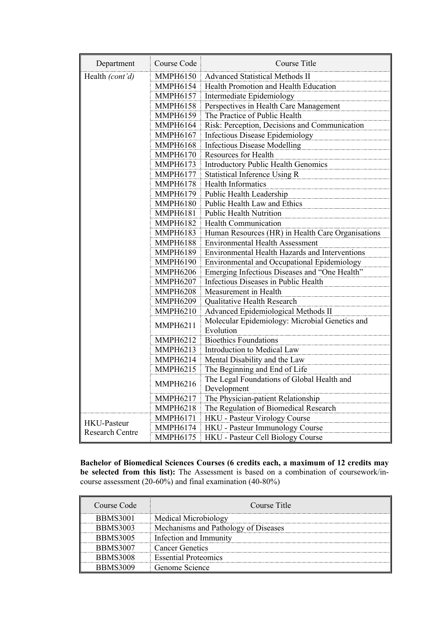| Department             | Course Code     | Course Title                                                |
|------------------------|-----------------|-------------------------------------------------------------|
| Health (cont'd)        | <b>MMPH6150</b> | Advanced Statistical Methods II                             |
|                        | <b>MMPH6154</b> | Health Promotion and Health Education                       |
|                        | <b>MMPH6157</b> | Intermediate Epidemiology                                   |
|                        | <b>MMPH6158</b> | Perspectives in Health Care Management                      |
|                        | <b>MMPH6159</b> | The Practice of Public Health                               |
|                        | <b>MMPH6164</b> | Risk: Perception, Decisions and Communication               |
|                        | <b>MMPH6167</b> | Infectious Disease Epidemiology                             |
|                        | <b>MMPH6168</b> | <b>Infectious Disease Modelling</b>                         |
|                        | <b>MMPH6170</b> | Resources for Health                                        |
|                        | <b>MMPH6173</b> | Introductory Public Health Genomics                         |
|                        | <b>MMPH6177</b> | Statistical Inference Using R                               |
|                        | <b>MMPH6178</b> | <b>Health Informatics</b>                                   |
|                        | <b>MMPH6179</b> | Public Health Leadership                                    |
|                        | <b>MMPH6180</b> | Public Health Law and Ethics                                |
|                        | <b>MMPH6181</b> | <b>Public Health Nutrition</b>                              |
|                        | <b>MMPH6182</b> | <b>Health Communication</b>                                 |
|                        | <b>MMPH6183</b> | Human Resources (HR) in Health Care Organisations           |
|                        | <b>MMPH6188</b> | <b>Environmental Health Assessment</b>                      |
|                        | <b>MMPH6189</b> | <b>Environmental Health Hazards and Interventions</b>       |
|                        | <b>MMPH6190</b> | Environmental and Occupational Epidemiology                 |
|                        | <b>MMPH6206</b> | Emerging Infectious Diseases and "One Health"               |
|                        | <b>MMPH6207</b> | Infectious Diseases in Public Health                        |
|                        | <b>MMPH6208</b> | Measurement in Health                                       |
|                        | <b>MMPH6209</b> | Qualitative Health Research                                 |
|                        | <b>MMPH6210</b> | Advanced Epidemiological Methods II                         |
|                        | <b>MMPH6211</b> | Molecular Epidemiology: Microbial Genetics and<br>Evolution |
|                        | <b>MMPH6212</b> | <b>Bioethics Foundations</b>                                |
|                        | MMPH6213        | Introduction to Medical Law                                 |
|                        | <b>MMPH6214</b> | Mental Disability and the Law                               |
|                        | <b>MMPH6215</b> | The Beginning and End of Life                               |
|                        | <b>MMPH6216</b> | The Legal Foundations of Global Health and<br>Development   |
|                        | <b>MMPH6217</b> | The Physician-patient Relationship                          |
|                        | <b>MMPH6218</b> | The Regulation of Biomedical Research                       |
|                        | <b>MMPH6171</b> | HKU - Pasteur Virology Course                               |
| <b>HKU-Pasteur</b>     | <b>MMPH6174</b> | HKU - Pasteur Immunology Course                             |
| <b>Research Centre</b> | <b>MMPH6175</b> | HKU - Pasteur Cell Biology Course                           |

**Bachelor of Biomedical Sciences Courses (6 credits each, a maximum of 12 credits may be selected from this list):** The Assessment is based on a combination of coursework/incourse assessment (20-60%) and final examination (40-80%)

| Course Code     | Course Title                         |
|-----------------|--------------------------------------|
| <b>BBMS3001</b> | Medical Microbiology                 |
| <b>BBMS3003</b> | Mechanisms and Pathology of Diseases |
| <b>BBMS3005</b> | Infection and Immunity               |
| <b>BBMS3007</b> | <b>Cancer Genetics</b>               |
| <b>BBMS3008</b> | <b>Essential Proteomics</b>          |
| BBMS3009        | Genome Science                       |